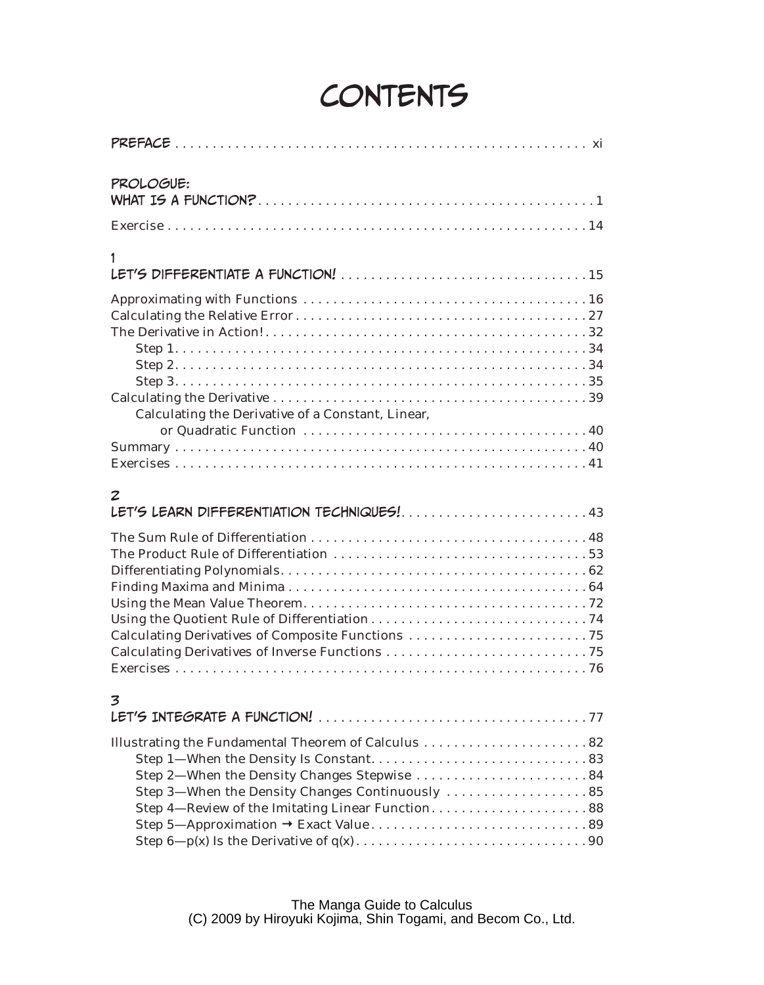# CONTENTS

| PROLOGUE:                                                                                                                                           |
|-----------------------------------------------------------------------------------------------------------------------------------------------------|
|                                                                                                                                                     |
| 1                                                                                                                                                   |
| <b>Calculating the Derivative of a Constant, Linear,</b>                                                                                            |
| z                                                                                                                                                   |
| LET'S LEARN DIFFERENTIATION TECHNIQUES!43                                                                                                           |
| 3                                                                                                                                                   |
| Step 2-When the Density Changes Stepwise 84<br>Step 3-When the Density Changes Continuously  85<br>Step 4—Review of the Imitating Linear Function88 |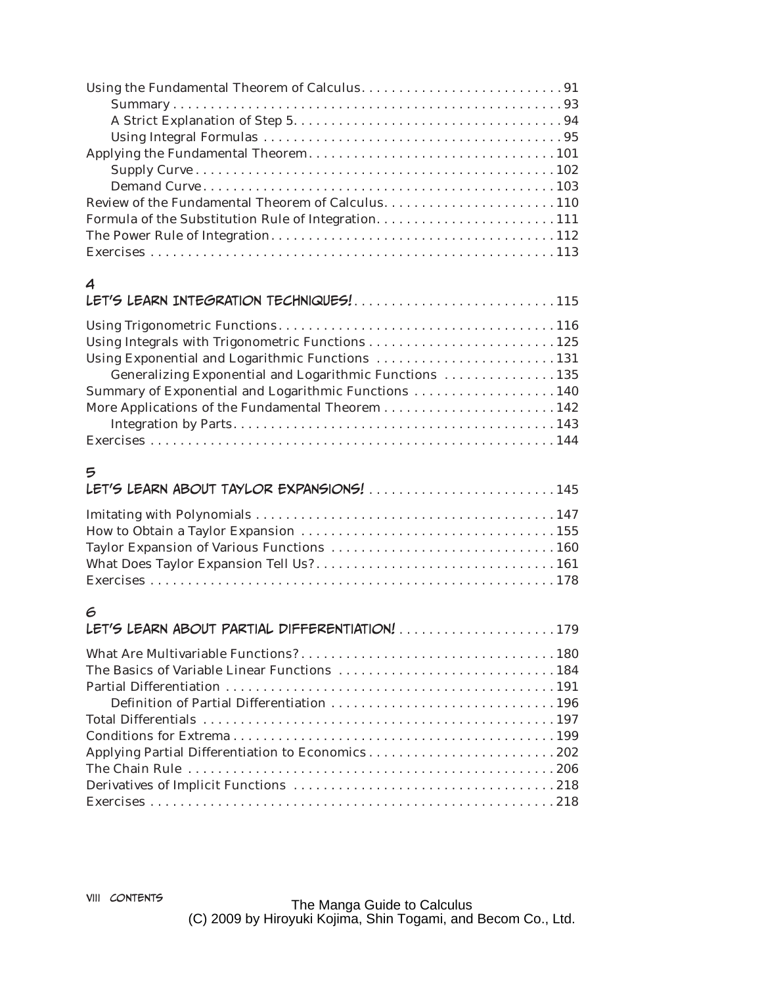#### 4

| LET'S LEARN INTEGRATION TECHNIQUES!115                 |
|--------------------------------------------------------|
|                                                        |
|                                                        |
|                                                        |
| Generalizing Exponential and Logarithmic Functions 135 |
| Summary of Exponential and Logarithmic Functions  140  |
|                                                        |
|                                                        |
|                                                        |

## 5

| LET'S LEARN ABOUT TAYLOR EXPANSIONS!145 |  |
|-----------------------------------------|--|
|                                         |  |
|                                         |  |
|                                         |  |
|                                         |  |
|                                         |  |

### 6

| LET'S LEARN ABOUT PARTIAL DIFFERENTIATION! 179   |
|--------------------------------------------------|
|                                                  |
|                                                  |
|                                                  |
|                                                  |
|                                                  |
|                                                  |
| Applying Partial Differentiation to Economics202 |
|                                                  |
|                                                  |
|                                                  |